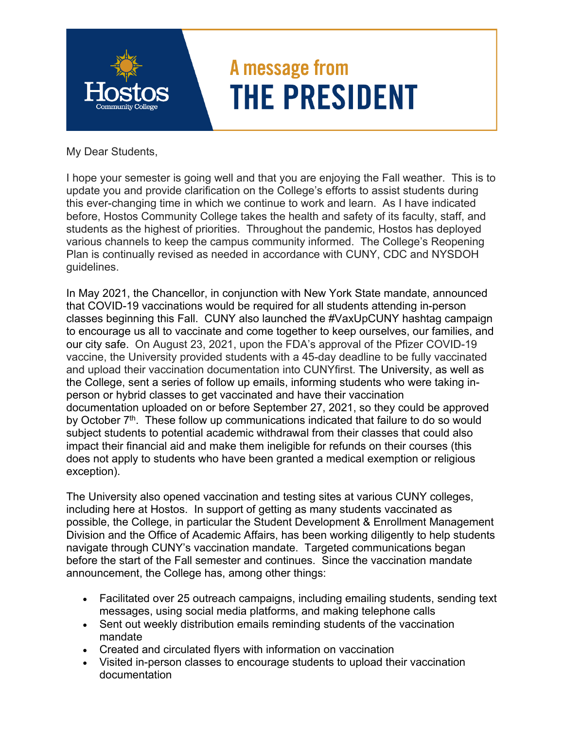

My Dear Students,

I hope your semester is going well and that you are enjoying the Fall weather. This is to update you and provide clarification on the College's efforts to assist students during this ever-changing time in which we continue to work and learn. As I have indicated before, Hostos Community College takes the health and safety of its faculty, staff, and students as the highest of priorities. Throughout the pandemic, Hostos has deployed various channels to keep the campus community informed. The College's Reopening Plan is continually revised as needed in accordance with CUNY, CDC and NYSDOH guidelines.

In May 2021, the Chancellor, in conjunction with New York State mandate, announced that COVID-19 vaccinations would be required for all students attending in-person classes beginning this Fall. CUNY also launched the #VaxUpCUNY hashtag campaign to encourage us all to vaccinate and come together to keep ourselves, our families, and our city safe. On August 23, 2021, upon the FDA's approval of the Pfizer COVID-19 vaccine, the University provided students with a 45-day deadline to be fully vaccinated and upload their vaccination documentation into CUNYfirst. The University, as well as the College, sent a series of follow up emails, informing students who were taking inperson or hybrid classes to get vaccinated and have their vaccination documentation uploaded on or before September 27, 2021, so they could be approved by October  $7<sup>th</sup>$ . These follow up communications indicated that failure to do so would subject students to potential academic withdrawal from their classes that could also impact their financial aid and make them ineligible for refunds on their courses (this does not apply to students who have been granted a medical exemption or religious exception).

The University also opened vaccination and testing sites at various CUNY colleges, including here at Hostos. In support of getting as many students vaccinated as possible, the College, in particular the Student Development & Enrollment Management Division and the Office of Academic Affairs, has been working diligently to help students navigate through CUNY's vaccination mandate. Targeted communications began before the start of the Fall semester and continues. Since the vaccination mandate announcement, the College has, among other things:

- messages, using social media platforms, and making telephone calls Facilitated over 25 outreach campaigns, including emailing students, sending text
- Sent out weekly distribution emails reminding students of the vaccination mandate
- Created and circulated flyers with information on vaccination
- Visited in-person classes to encourage students to upload their vaccination documentation